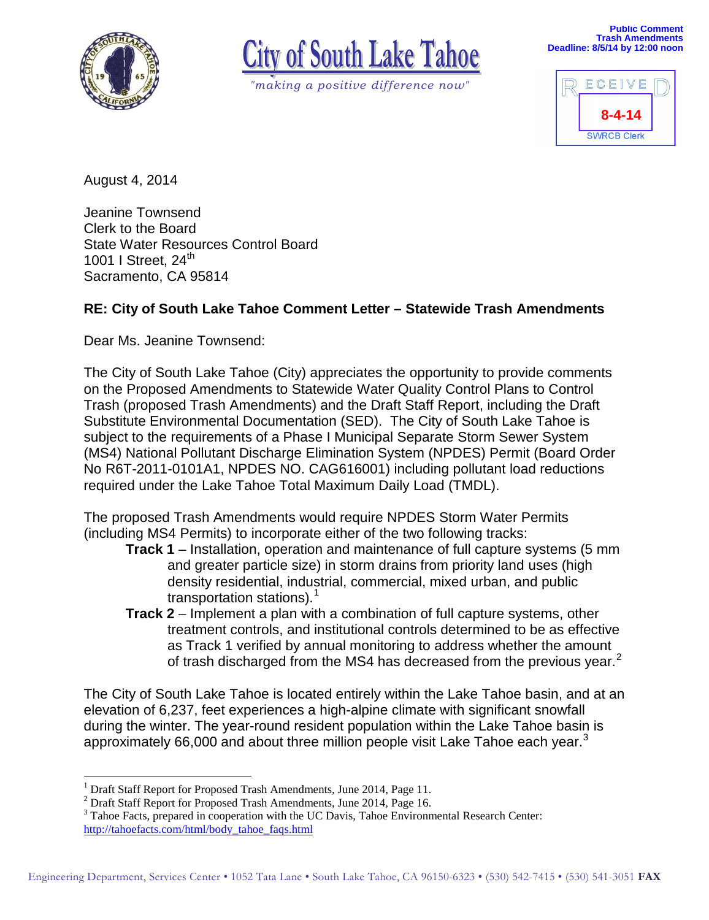



*"making a positive difference now"*



August 4, 2014

Jeanine Townsend Clerk to the Board State Water Resources Control Board 1001 I Street,  $24<sup>th</sup>$ Sacramento, CA 95814

## **RE: City of South Lake Tahoe Comment Letter – Statewide Trash Amendments**

Dear Ms. Jeanine Townsend:

The City of South Lake Tahoe (City) appreciates the opportunity to provide comments on the Proposed Amendments to Statewide Water Quality Control Plans to Control Trash (proposed Trash Amendments) and the Draft Staff Report, including the Draft Substitute Environmental Documentation (SED). The City of South Lake Tahoe is subject to the requirements of a Phase I Municipal Separate Storm Sewer System (MS4) National Pollutant Discharge Elimination System (NPDES) Permit (Board Order No R6T-2011-0101A1, NPDES NO. CAG616001) including pollutant load reductions required under the Lake Tahoe Total Maximum Daily Load (TMDL).

The proposed Trash Amendments would require NPDES Storm Water Permits (including MS4 Permits) to incorporate either of the two following tracks:

- **Track 1** Installation, operation and maintenance of full capture systems (5 mm and greater particle size) in storm drains from priority land uses (high density residential, industrial, commercial, mixed urban, and public transportation stations). [1](#page-0-0)
- **Track 2** Implement a plan with a combination of full capture systems, other treatment controls, and institutional controls determined to be as effective as Track 1 verified by annual monitoring to address whether the amount of trash discharged from the MS4 has decreased from the previous year.<sup>[2](#page-0-1)</sup>

The City of South Lake Tahoe is located entirely within the Lake Tahoe basin, and at an elevation of 6,237, feet experiences a high-alpine climate with significant snowfall during the winter. The year-round resident population within the Lake Tahoe basin is approximately 66,000 and about three million people visit Lake Tahoe each year.<sup>[3](#page-0-2)</sup>

<sup>&</sup>lt;sup>1</sup> Draft Staff Report for Proposed Trash Amendments, June 2014, Page 11. -

<span id="page-0-1"></span><span id="page-0-0"></span><sup>&</sup>lt;sup>2</sup> Draft Staff Report for Proposed Trash Amendments, June 2014, Page 16.

<span id="page-0-2"></span><sup>&</sup>lt;sup>3</sup> Tahoe Facts, prepared in cooperation with the UC Davis, Tahoe Environmental Research Center: [http://tahoefacts.com/html/body\\_tahoe\\_faqs.html](http://tahoefacts.com/html/body_tahoe_faqs.html)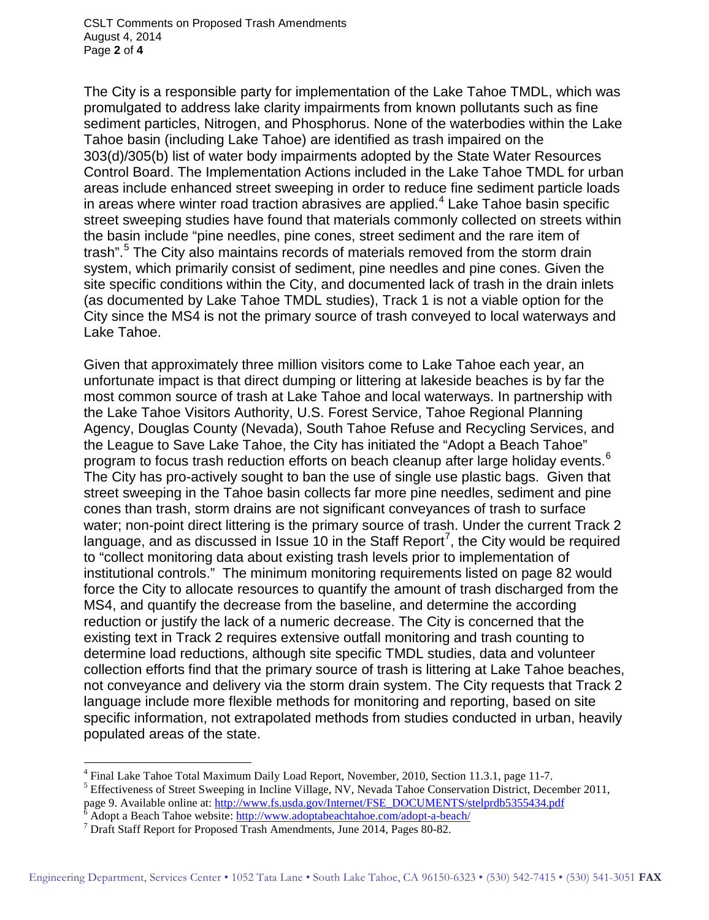CSLT Comments on Proposed Trash Amendments August 4, 2014 Page **2** of **4**

The City is a responsible party for implementation of the Lake Tahoe TMDL, which was promulgated to address lake clarity impairments from known pollutants such as fine sediment particles, Nitrogen, and Phosphorus. None of the waterbodies within the Lake Tahoe basin (including Lake Tahoe) are identified as trash impaired on the 303(d)/305(b) list of water body impairments adopted by the State Water Resources Control Board. The Implementation Actions included in the Lake Tahoe TMDL for urban areas include enhanced street sweeping in order to reduce fine sediment particle loads in areas where winter road traction abrasives are applied.<sup>[4](#page-1-0)</sup> Lake Tahoe basin specific street sweeping studies have found that materials commonly collected on streets within the basin include "pine needles, pine cones, street sediment and the rare item of trash".<sup>[5](#page-1-1)</sup> The City also maintains records of materials removed from the storm drain system, which primarily consist of sediment, pine needles and pine cones. Given the site specific conditions within the City, and documented lack of trash in the drain inlets (as documented by Lake Tahoe TMDL studies), Track 1 is not a viable option for the City since the MS4 is not the primary source of trash conveyed to local waterways and Lake Tahoe.

Given that approximately three million visitors come to Lake Tahoe each year, an unfortunate impact is that direct dumping or littering at lakeside beaches is by far the most common source of trash at Lake Tahoe and local waterways. In partnership with the Lake Tahoe Visitors Authority, U.S. Forest Service, Tahoe Regional Planning Agency, Douglas County (Nevada), South Tahoe Refuse and Recycling Services, and the League to Save Lake Tahoe, the City has initiated the "Adopt a Beach Tahoe" program to focus trash reduction efforts on beach cleanup after large holiday events.<sup>[6](#page-1-2)</sup> The City has pro-actively sought to ban the use of single use plastic bags. Given that street sweeping in the Tahoe basin collects far more pine needles, sediment and pine cones than trash, storm drains are not significant conveyances of trash to surface water; non-point direct littering is the primary source of trash. Under the current Track 2 language, and as discussed in Issue 10 in the Staff Report<sup>[7](#page-1-3)</sup>, the City would be required to "collect monitoring data about existing trash levels prior to implementation of institutional controls." The minimum monitoring requirements listed on page 82 would force the City to allocate resources to quantify the amount of trash discharged from the MS4, and quantify the decrease from the baseline, and determine the according reduction or justify the lack of a numeric decrease. The City is concerned that the existing text in Track 2 requires extensive outfall monitoring and trash counting to determine load reductions, although site specific TMDL studies, data and volunteer collection efforts find that the primary source of trash is littering at Lake Tahoe beaches, not conveyance and delivery via the storm drain system. The City requests that Track 2 language include more flexible methods for monitoring and reporting, based on site specific information, not extrapolated methods from studies conducted in urban, heavily populated areas of the state.

-

<sup>&</sup>lt;sup>4</sup> Final Lake Tahoe Total Maximum Daily Load Report, November, 2010, Section 11.3.1, page 11-7.<br><sup>5</sup> Effectiveness of Street Sweeping in Incline Village, NV, Nevada Tahoe Conservation District, December 2011,

<span id="page-1-2"></span><span id="page-1-1"></span><span id="page-1-0"></span>page 9. Available online at[: http://www.fs.usda.gov/Internet/FSE\\_DOCUMENTS/stelprdb5355434.pdf](http://www.fs.usda.gov/Internet/FSE_DOCUMENTS/stelprdb5355434.pdf)<br>
<sup>6</sup> Adopt a Beach Tahoe website:<http://www.adoptabeachtahoe.com/adopt-a-beach/><br>
<sup>7</sup> Draft Staff Report for Proposed Trash Ame

<span id="page-1-3"></span>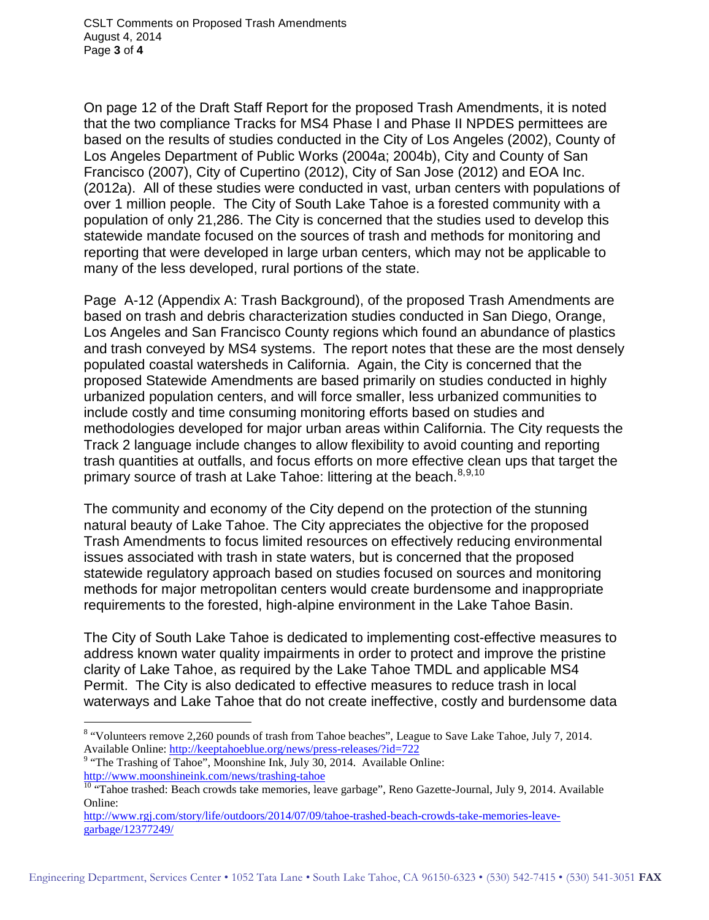On page 12 of the Draft Staff Report for the proposed Trash Amendments, it is noted that the two compliance Tracks for MS4 Phase I and Phase II NPDES permittees are based on the results of studies conducted in the City of Los Angeles (2002), County of Los Angeles Department of Public Works (2004a; 2004b), City and County of San Francisco (2007), City of Cupertino (2012), City of San Jose (2012) and EOA Inc. (2012a). All of these studies were conducted in vast, urban centers with populations of over 1 million people. The City of South Lake Tahoe is a forested community with a population of only 21,286. The City is concerned that the studies used to develop this statewide mandate focused on the sources of trash and methods for monitoring and reporting that were developed in large urban centers, which may not be applicable to many of the less developed, rural portions of the state.

Page A-12 (Appendix A: Trash Background), of the proposed Trash Amendments are based on trash and debris characterization studies conducted in San Diego, Orange, Los Angeles and San Francisco County regions which found an abundance of plastics and trash conveyed by MS4 systems. The report notes that these are the most densely populated coastal watersheds in California. Again, the City is concerned that the proposed Statewide Amendments are based primarily on studies conducted in highly urbanized population centers, and will force smaller, less urbanized communities to include costly and time consuming monitoring efforts based on studies and methodologies developed for major urban areas within California. The City requests the Track 2 language include changes to allow flexibility to avoid counting and reporting trash quantities at outfalls, and focus efforts on more effective clean ups that target the primary source of trash at Lake Tahoe: littering at the beach.<sup>[8,](#page-2-0)[9](#page-2-1),[10](#page-2-2)</sup>

The community and economy of the City depend on the protection of the stunning natural beauty of Lake Tahoe. The City appreciates the objective for the proposed Trash Amendments to focus limited resources on effectively reducing environmental issues associated with trash in state waters, but is concerned that the proposed statewide regulatory approach based on studies focused on sources and monitoring methods for major metropolitan centers would create burdensome and inappropriate requirements to the forested, high-alpine environment in the Lake Tahoe Basin.

The City of South Lake Tahoe is dedicated to implementing cost-effective measures to address known water quality impairments in order to protect and improve the pristine clarity of Lake Tahoe, as required by the Lake Tahoe TMDL and applicable MS4 Permit. The City is also dedicated to effective measures to reduce trash in local waterways and Lake Tahoe that do not create ineffective, costly and burdensome data

<span id="page-2-0"></span><sup>&</sup>lt;sup>8</sup> "Volunteers remove 2,260 pounds of trash from Tahoe beaches", League to Save Lake Tahoe, July 7, 2014.<br>Available Online: http://keeptahoeblue.org/news/press-releases/?id=722 -

<span id="page-2-1"></span><sup>&</sup>lt;sup>9</sup> "The Trashing of Tahoe", Moonshine Ink, July 30, 2014. Available Online:<br>http://www.moonshineink.com/news/trashing-tahoe

<span id="page-2-2"></span><sup>&</sup>lt;sup>10</sup> "Tahoe trashed: Beach crowds take memories, leave garbage", Reno Gazette-Journal, July 9, 2014. Available Online:

[http://www.rgj.com/story/life/outdoors/2014/07/09/tahoe-trashed-beach-crowds-take-memories-leave](http://www.rgj.com/story/life/outdoors/2014/07/09/tahoe-trashed-beach-crowds-take-memories-leave-garbage/12377249/)[garbage/12377249/](http://www.rgj.com/story/life/outdoors/2014/07/09/tahoe-trashed-beach-crowds-take-memories-leave-garbage/12377249/)